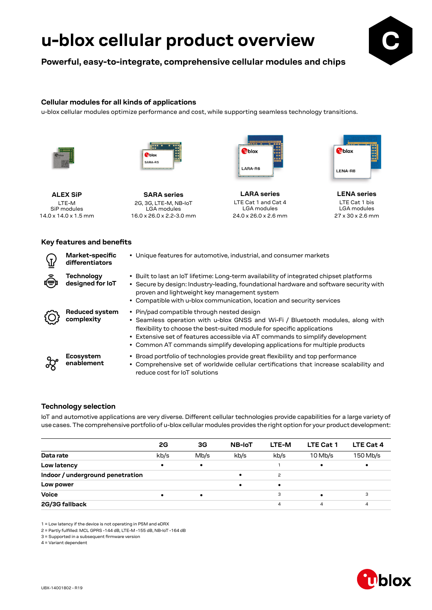**Powerful, easy-to-integrate, comprehensive cellular modules and chips**



### **Cellular modules for all kinds of applications**

u-blox cellular modules optimize performance and cost, while supporting seamless technology transitions.





**ALEX SiP** LTE-M SiP modules 14.0 x 14.0 x 1.5 mm

**SARA series** 2G, 3G, LTE-M, NB-IoT LGA modules 16.0 x 26.0 x 2.2-3.0 mm



**LARA series** LTE Cat 1 and Cat 4 LGA modules 24.0 x 26.0 x 2.6 mm



**LENA series** LTE Cat 1 bis LGA modules 27 x 30 x 2.6 mm

### **Key features and benefits**

| Market-specific<br>differentiators  | • Unique features for automotive, industrial, and consumer markets                                                                                                                                                                                                                                                                                                       |
|-------------------------------------|--------------------------------------------------------------------------------------------------------------------------------------------------------------------------------------------------------------------------------------------------------------------------------------------------------------------------------------------------------------------------|
| Technology<br>designed for IoT      | • Built to last an IoT lifetime: Long-term availability of integrated chipset platforms<br>• Secure by design: Industry-leading, foundational hardware and software security with<br>proven and lightweight key management system<br>• Compatible with u-blox communication, location and security services                                                              |
| <b>Reduced system</b><br>complexity | • Pin/pad compatible through nested design<br>• Seamless operation with u-blox GNSS and Wi-Fi / Bluetooth modules, along with<br>flexibility to choose the best-suited module for specific applications<br>• Extensive set of features accessible via AT commands to simplify development<br>• Common AT commands simplify developing applications for multiple products |
| <b>Ecosystem</b><br>enablement      | • Broad portfolio of technologies provide great flexibility and top performance<br>• Comprehensive set of worldwide cellular certifications that increase scalability and<br>reduce cost for IoT solutions                                                                                                                                                               |

### **Technology selection**

IoT and automotive applications are very diverse. Different cellular technologies provide capabilities for a large variety of use cases. The comprehensive portfolio of u-blox cellular modules provides the right option for your product development:

|                                  | 2G   | 3G        | <b>NB-IoT</b> | LTE-M | <b>LTE Cat 1</b> | LTE Cat 4 |
|----------------------------------|------|-----------|---------------|-------|------------------|-----------|
| Data rate                        | kb/s | Mb/s      | kb/s          | kb/s  | $10$ Mb/s        | 150 Mb/s  |
| Low latency                      |      | $\bullet$ |               |       |                  | ٠         |
| Indoor / underground penetration |      |           |               | 2     |                  |           |
| Low power                        |      |           | $\bullet$     | ٠     |                  |           |
| <b>Voice</b>                     |      |           |               | 3     |                  | 3         |
| 2G/3G fallback                   |      |           |               | 4     | 4                | 4         |

1 = Low latency if the device is not operating in PSM and eDRX

2 = Partly fulfilled: MCL GPRS -144 dB, LTE-M -155 dB, NB-IoT -164 dB

3 = Supported in a subsequent firmware version

4 = Variant dependent

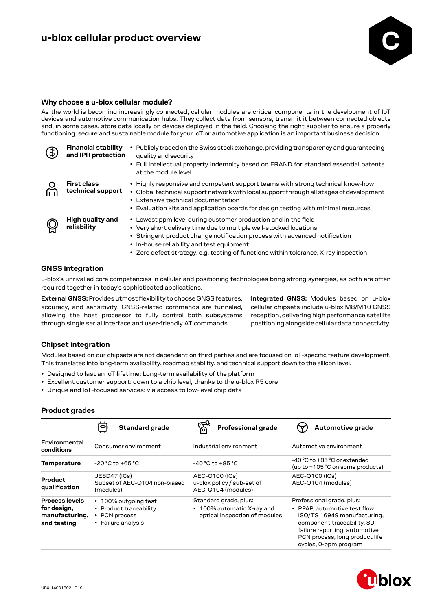

### **Why choose a u-blox cellular module?**

As the world is becoming increasingly connected, cellular modules are critical components in the development of IoT devices and automotive communication hubs. They collect data from sensors, transmit it between connected objects and, in some cases, store data locally on devices deployed in the field. Choosing the right supplier to ensure a properly functioning, secure and sustainable module for your IoT or automotive application is an important business decision.

| $\left( 3\right)$ | <b>Financial stability</b><br>and IPR protection | Publicly traded on the Swiss stock exchange, providing transparency and quaranteeing<br>$\bullet$<br>quality and security<br>• Full intellectual property indemnity based on FRAND for standard essential patents<br>at the module level                                                                                                               |
|-------------------|--------------------------------------------------|--------------------------------------------------------------------------------------------------------------------------------------------------------------------------------------------------------------------------------------------------------------------------------------------------------------------------------------------------------|
|                   | <b>First class</b><br>technical support          | • Highly responsive and competent support teams with strong technical know-how<br>• Global technical support network with local support through all stages of development<br>• Extensive technical documentation<br>• Evaluation kits and application boards for design testing with minimal resources                                                 |
|                   | High quality and<br>reliability                  | • Lowest ppm level during customer production and in the field<br>• Very short delivery time due to multiple well-stocked locations<br>• Stringent product change notification process with advanced notification<br>• In-house reliability and test equipment<br>• Zero defect strategy, e.g. testing of functions within tolerance, X-ray inspection |

### **GNSS integration**

u-blox's unrivalled core competencies in cellular and positioning technologies bring strong synergies, as both are often required together in today's sophisticated applications.

**External GNSS:** Provides utmost flexibility to choose GNSS features, accuracy, and sensitivity. GNSS-related commands are tunneled, allowing the host processor to fully control both subsystems through single serial interface and user-friendly AT commands.

**Integrated GNSS:** Modules based on u-blox cellular chipsets include u-blox M8/M10 GNSS reception, delivering high performance satellite positioning alongside cellular data connectivity.

### **Chipset integration**

Modules based on our chipsets are not dependent on third parties and are focused on IoT-specific feature development. This translates into long-term availability, roadmap stability, and technical support down to the silicon level.

- Designed to last an IoT lifetime: Long-term availability of the platform
- Excellent customer support: down to a chip level, thanks to the u-blox R5 core
- Unique and IoT-focused services: via access to low-level chip data

### **Product grades**

|                                                                       | <b>Standard grade</b><br>ຈ                                                            | <b>Professional grade</b>                                                            | Automotive grade                                                                                                                                                                                                    |
|-----------------------------------------------------------------------|---------------------------------------------------------------------------------------|--------------------------------------------------------------------------------------|---------------------------------------------------------------------------------------------------------------------------------------------------------------------------------------------------------------------|
| Environmental<br>conditions                                           | Consumer environment                                                                  | Industrial environment                                                               | Automotive environment                                                                                                                                                                                              |
| <b>Temperature</b>                                                    | $-20 °C$ to $+65 °C$                                                                  | $-40 °C$ to $+85 °C$                                                                 | -40 °C to +85 °C or extended<br>(up to +105 °C on some products)                                                                                                                                                    |
| Product<br>qualification                                              | JESD47 (ICs)<br>Subset of AEC-Q104 non-biased<br>(modules)                            | AEC-Q100 (ICs)<br>u-blox policy / sub-set of<br>AEC-Q104 (modules)                   | AEC-Q100 (ICs)<br>AEC-Q104 (modules)                                                                                                                                                                                |
| <b>Process levels</b><br>for design,<br>manufacturing,<br>and testing | • 100% outgoing test<br>• Product traceability<br>• PCN process<br>• Failure analysis | Standard grade, plus:<br>• 100% automatic X-ray and<br>optical inspection of modules | Professional grade, plus:<br>• PPAP, automotive test flow,<br>ISO/TS 16949 manufacturing,<br>component traceability, 8D<br>failure reporting, automotive<br>PCN process, long product life<br>cycles, 0-ppm program |

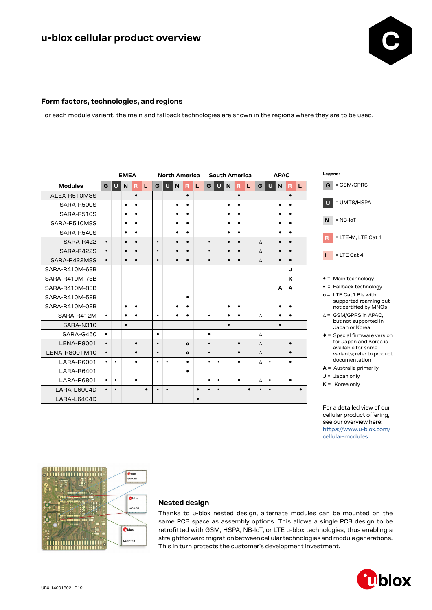

### **Form factors, technologies, and regions**

For each module variant, the main and fallback technologies are shown in the regions where they are to be used.

|                   |                        | <b>EMEA</b> |           |           |                               | <b>North America</b> |           |                                    |              | <b>South America</b> |           |                |           | <b>APAC</b> |           |           |           |           |           |           |
|-------------------|------------------------|-------------|-----------|-----------|-------------------------------|----------------------|-----------|------------------------------------|--------------|----------------------|-----------|----------------|-----------|-------------|-----------|-----------|-----------|-----------|-----------|-----------|
| <b>Modules</b>    | U<br>L.<br>N<br>R<br>G |             |           | G         | $\overline{U}$<br>N<br>R<br>L |                      |           | $\overline{U}$<br>N<br>L<br>G<br>R |              |                      |           | G              | U         | N           | R         | L         |           |           |           |           |
| ALEX-R510M8S      |                        |             |           | $\bullet$ |                               |                      |           |                                    | $\bullet$    |                      |           |                |           | $\bullet$   |           |           |           |           | $\bullet$ |           |
| SARA-R500S        |                        |             | $\bullet$ | $\bullet$ |                               |                      |           | $\bullet$                          | $\bullet$    |                      |           |                | ٠         | $\bullet$   |           |           |           | $\bullet$ | $\bullet$ |           |
| SARA-R510S        |                        |             |           | $\bullet$ |                               |                      |           |                                    | $\bullet$    |                      |           |                |           |             |           |           |           |           | $\bullet$ |           |
| SARA-R510M8S      |                        |             |           | $\bullet$ |                               |                      |           |                                    | ٠            |                      |           |                |           | $\bullet$   |           |           |           |           | $\bullet$ |           |
| SARA-R540S        |                        |             | $\bullet$ | $\bullet$ |                               |                      |           | ٠                                  | $\bullet$    |                      |           | $\bullet$<br>٠ |           |             |           |           |           | $\bullet$ |           |           |
| SARA-R422         | $\bullet$              |             |           | $\bullet$ |                               | $\bullet$            |           | $\bullet$                          | $\bullet$    |                      | $\bullet$ |                |           | $\bullet$   |           | Δ         |           |           | $\bullet$ |           |
| SARA-R422S        | $\bullet$              |             |           |           |                               | $\bullet$            |           |                                    |              |                      | $\bullet$ |                |           |             |           | $\Lambda$ |           |           |           |           |
| SARA-R422M8S      | $\bullet$              |             |           |           |                               | $\bullet$            |           |                                    | $\bullet$    |                      | $\bullet$ |                |           | $\bullet$   |           | Δ         |           |           | $\bullet$ |           |
| SARA-R410M-63B    |                        |             |           |           |                               |                      |           |                                    |              |                      |           |                |           |             |           |           |           |           | J         |           |
| SARA-R410M-73B    |                        |             |           |           |                               |                      |           |                                    |              |                      |           |                |           |             |           |           |           |           | K         |           |
| SARA-R410M-83B    |                        |             |           |           |                               |                      |           |                                    |              |                      |           |                |           |             |           |           |           | A         | A         |           |
| SARA-R410M-52B    |                        |             |           |           |                               | $\bullet$            |           |                                    |              |                      |           |                |           |             |           |           |           |           |           |           |
| SARA-R410M-02B    |                        |             | $\bullet$ | $\bullet$ |                               |                      |           |                                    |              |                      |           |                |           | ٠           |           |           |           |           | $\bullet$ |           |
| SARA-R412M        | $\bullet$              |             | $\bullet$ | $\bullet$ |                               | $\bullet$            |           | $\bullet$                          | $\bullet$    |                      | $\bullet$ |                |           | $\bullet$   |           | Λ         |           | $\bullet$ | $\bullet$ |           |
| SARA-N310         |                        |             | $\bullet$ |           |                               |                      |           |                                    |              |                      |           |                | $\bullet$ |             |           |           |           | $\bullet$ |           |           |
| SARA-G450         | $\bullet$              |             |           |           |                               | $\bullet$            |           |                                    |              |                      | $\bullet$ |                |           |             |           | Δ         |           |           |           |           |
| <b>LENA-R8001</b> | $\bullet$              |             |           | $\bullet$ |                               | $\bullet$            |           |                                    | $\mathbf{o}$ |                      | $\bullet$ |                |           | $\bullet$   |           | $\Lambda$ |           |           | $\bullet$ |           |
| LENA-R8001M10     | $\bullet$              |             |           | $\bullet$ |                               | $\bullet$            |           |                                    | $\Omega$     |                      | $\bullet$ |                |           | $\bullet$   |           | Δ         |           |           | $\bullet$ |           |
| LARA-R6001        | $\bullet$              | $\bullet$   |           | $\bullet$ |                               | $\bullet$            | ٠         |                                    | $\bullet$    |                      | $\bullet$ | $\bullet$      |           | $\bullet$   |           | Δ         | $\bullet$ |           | $\bullet$ |           |
| LARA-R6401        |                        |             |           |           |                               |                      |           |                                    | $\bullet$    |                      |           |                |           |             |           |           |           |           |           |           |
| LARA-R6801        | $\bullet$              | $\bullet$   |           | $\bullet$ |                               |                      |           |                                    |              |                      | $\bullet$ | $\bullet$      |           | $\bullet$   |           | Λ         | $\bullet$ |           | $\bullet$ |           |
| LARA-L6004D       | $\bullet$              | $\bullet$   |           |           | $\bullet$                     | $\bullet$            | $\bullet$ |                                    |              | $\bullet$            | ٠         | $\bullet$      |           |             | $\bullet$ | $\bullet$ | $\bullet$ |           |           | $\bullet$ |
| LARA-L6404D       |                        |             |           |           |                               |                      |           |                                    |              | $\bullet$            |           |                |           |             |           |           |           |           |           |           |



- = Main technology
- = Fallback technology
- **o** = LTE Cat1 Bis with supported roaming but not certified by MNOs
- $\Delta$  = GSM/GPRS in APAC, but not supported in Japan or Korea
- $\triangleq$  = Special firmware version for Japan and Korea is available for some variants; refer to product documentation
- **A** = Australia primarily
- **J** = Japan only
- **K** = Korea only

For a detailed view of our cellular product offering, see our overview here: [https://www.u-blox.com/](https://www.u-blox.com/en/cellular-modules) [cellular-modules](https://www.u-blox.com/en/cellular-modules)



### **Nested design**

Thanks to u-blox nested design, alternate modules can be mounted on the same PCB space as assembly options. This allows a single PCB design to be retrofitted with GSM, HSPA, NB‑IoT, or LTE u-blox technologies, thus enabling a straightforward migration between cellular technologies and module generations. This in turn protects the customer's development investment.